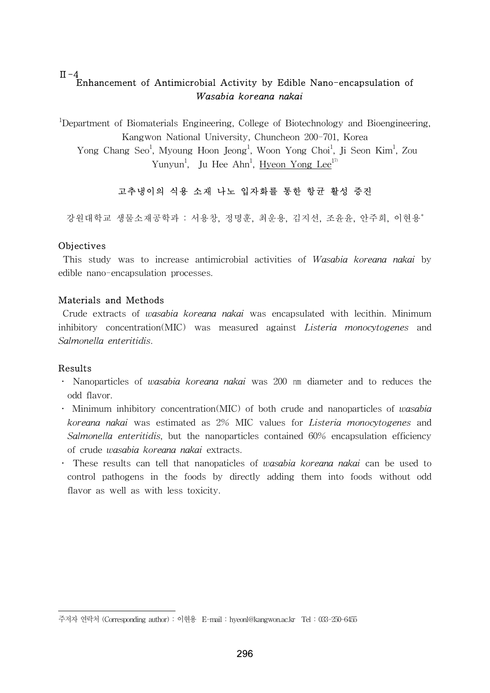### $\Pi - 4$ Enhancement of Antimicrobial Activity by Edible Nano-encapsulation of Wasabia koreana nakai

<sup>1</sup>Department of Biomaterials Engineering, College of Biotechnology and Bioengineering, Kangwon National University, Chuncheon 200-701, Korea Yong Chang Seo<sup>1</sup>, Myoung Hoon Jeong<sup>1</sup>, Woon Yong Choi<sup>1</sup>, Ji Seon Kim<sup>1</sup>, Zou Yunyun<sup>1</sup>, Ju Hee Ahn<sup>1</sup>, <u>Hyeon Yong Lee<sup>17</sup></u>

# 고추냉이의 식용 소재 나노 입자화를 통한 항균 활성 증진

강원대학교 생물소재공학과 : 서용창, 정명훈, 최운용, 김지선, 조윤윤, 안주희, 이현용\*

## Objectives

 This study was to increase antimicrobial activities of Wasabia koreana nakai by edible nano-encapsulation processes.

## Materials and Methods

 Crude extracts of wasabia koreana nakai was encapsulated with lecithin. Minimum inhibitory concentration(MIC) was measured against *Listeria monocytogenes* and Salmonella enteritidis.

#### Results

- Nanoparticles of wasabia koreana nakai was 200 nm diameter and to reduces the odd flavor.
- Minimum inhibitory concentration(MIC) of both crude and nanoparticles of wasabia koreana nakai was estimated as 2% MIC values for Listeria monocytogenes and Salmonella enteritidis, but the nanoparticles contained 60% encapsulation efficiency of crude wasabia koreana nakai extracts.
- These results can tell that nanopaticles of wasabia koreana nakai can be used to control pathogens in the foods by directly adding them into foods without odd flavor as well as with less toxicity.

주저자 연락처 (Corresponding author) : 이현용 E-mail : hyeonl@kangwon.ac.kr Tel : 033-250-6455